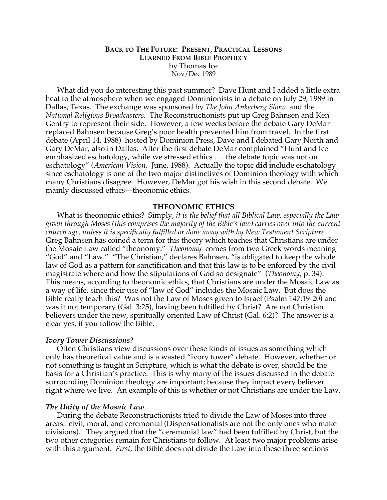## **BACK TO THE FUTURE: PRESENT, PRACTICAL LESSONS LEARNED FROM BIBLE PROPHECY** by Thomas Ice Nov/Dec 1989

What did you do interesting this past summer? Dave Hunt and I added a little extra heat to the atmosphere when we engaged Dominionists in a debate on July 29, 1989 in Dallas, Texas. The exchange was sponsored by *The John Ankerberg Show* and the *National Religious Broadcasters.* The Reconstructionists put up Greg Bahnsen and Ken Gentry to represent their side. However, a few weeks before the debate Gary DeMar replaced Bahnsen because Greg's poor health prevented him from travel. In the first debate (April 14, 1988) hosted by Dominion Press, Dave and I debated Gary North and Gary DeMar, also in Dallas. After the first debate DeMar complained "Hunt and Ice emphasized eschatology, while we stressed ethics . . . the debate topic was not on eschatology" (*American Vision*, June, 1988). Actually the topic **did** include eschatology since eschatology is one of the two major distinctives of Dominion theology with which many Christians disagree. However, DeMar got his wish in this second debate. We mainly discussed ethics—theonomic ethics.

## **THEONOMIC ETHICS**

What is theonomic ethics? Simply, *it is the belief that all Biblical Law, especially the Law given through Moses (this comprises the majority of the Bible's law) carries over into the current church age, unless it is specifically fulfilled or done away with by New Testament Scripture.* Greg Bahnsen has coined a term for this theory which teaches that Christians are under the Mosaic Law called "theonomy." *Theonomy* comes from two Greek words meaning "God" and "Law." "The Christian," declares Bahnsen, "is obligated to keep the whole law of God as a pattern for sanctification and that this law is to be enforced by the civil magistrate where and how the stipulations of God so designate" (*Theonomy*, p. 34). This means, according to theonomic ethics, that Christians are under the Mosaic Law as a way of life, since their use of "law of God" includes the Mosaic Law. But does the Bible really teach this? Was not the Law of Moses given to Israel (Psalm 147:19-20) and was it not temporary (Gal. 3:25), having been fulfilled by Christ? Are not Christian believers under the new, spiritually oriented Law of Christ (Gal. 6:2)? The answer is a clear yes, if you follow the Bible.

## *Ivory Tower Discussions?*

Often Christians view discussions over these kinds of issues as something which only has theoretical value and is a wasted "ivory tower" debate. However, whether or not something is taught in Scripture, which is what the debate is over, should be the basis for a Christian's practice. This is why many of the issues discussed in the debate surrounding Dominion theology are important; because they impact every believer right where we live. An example of this is whether or not Christians are under the Law.

#### *The Unity of the Mosaic Law*

During the debate Reconstructionists tried to divide the Law of Moses into three areas: civil, moral, and ceremonial (Dispensationalists are not the only ones who make divisions). They argued that the "ceremonial law" had been fulfilled by Christ, but the two other categories remain for Christians to follow. At least two major problems arise with this argument: *First*, the Bible does not divide the Law into these three sections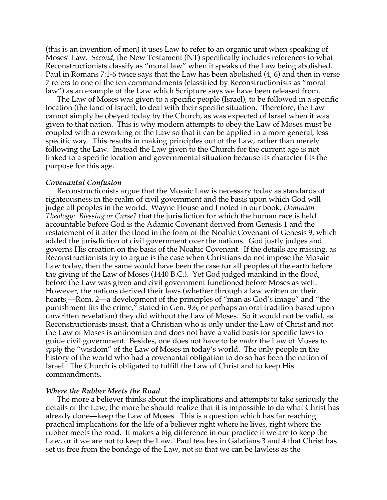(this is an invention of men) it uses Law to refer to an organic unit when speaking of Moses' Law. *Second*, the New Testament (NT) specifically includes references to what Reconstructionists classify as "moral law" when it speaks of the Law being abolished. Paul in Romans 7:1-6 twice says that the Law has been abolished (4, 6) and then in verse 7 refers to one of the ten commandments (classified by Reconstructionists as "moral law") as an example of the Law which Scripture says we have been released from.

The Law of Moses was given to a specific people (Israel), to be followed in a specific location (the land of Israel), to deal with their specific situation. Therefore, the Law cannot simply be obeyed today by the Church, as was expected of Israel when it was given to that nation. This is why modern attempts to obey the Law of Moses must be coupled with a reworking of the Law so that it can be applied in a more general, less specific way. This results in making principles out of the Law, rather than merely following the Law. Instead the Law given to the Church for the current age is not linked to a specific location and governmental situation because its character fits the purpose for this age.

#### *Covenantal Confusion*

Reconstructionists argue that the Mosaic Law is necessary today as standards of righteousness in the realm of civil government and the basis upon which God will judge all peoples in the world. Wayne House and I noted in our book, *Dominion Theology: Blessing or Curse?* that the jurisdiction for which the human race is held accountable before God is the Adamic Covenant derived from Genesis 1 and the restatement of it after the flood in the form of the Noahic Covenant of Genesis 9, which added the jurisdiction of civil government over the nations. God justly judges and governs His creation on the basis of the Noahic Covenant. If the details are missing, as Reconstructionists try to argue is the case when Christians do not impose the Mosaic Law today, then the same would have been the case for all peoples of the earth before the giving of the Law of Moses (1440 B.C.). Yet God judged mankind in the flood, before the Law was given and civil government functioned before Moses as well. However, the nations derived their laws (whether through a law written on their hearts,—Rom. 2—a development of the principles of "man as God's image" and "the punishment fits the crime," stated in Gen. 9:6, or perhaps an oral tradition based upon unwritten revelation) they did without the Law of Moses. So it would not be valid, as Reconstructionists insist, that a Christian who is only under the Law of Christ and not the Law of Moses is antinomian and does not have a valid basis for specific laws to guide civil government. Besides, one does not have to be *under* the Law of Moses to *apply* the "wisdom" of the Law of Moses in today's world. The only people in the history of the world who had a covenantal obligation to do so has been the nation of Israel. The Church is obligated to fulfill the Law of Christ and to keep His commandments.

#### *Where the Rubber Meets the Road*

The more a believer thinks about the implications and attempts to take seriously the details of the Law, the more he should realize that it is impossible to do what Christ has already done—keep the Law of Moses. This is a question which has far reaching practical implications for the life of a believer right where he lives, right where the rubber meets the road. It makes a big difference in our practice if we are to keep the Law, or if we are not to keep the Law. Paul teaches in Galatians 3 and 4 that Christ has set us free from the bondage of the Law, not so that we can be lawless as the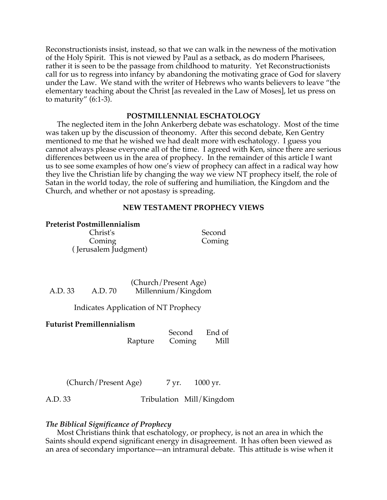Reconstructionists insist, instead, so that we can walk in the newness of the motivation of the Holy Spirit. This is not viewed by Paul as a setback, as do modern Pharisees, rather it is seen to be the passage from childhood to maturity. Yet Reconstructionists call for us to regress into infancy by abandoning the motivating grace of God for slavery under the Law. We stand with the writer of Hebrews who wants believers to leave "the elementary teaching about the Christ [as revealed in the Law of Moses], let us press on to maturity" (6:1-3).

# **POSTMILLENNIAL ESCHATOLOGY**

The neglected item in the John Ankerberg debate was eschatology. Most of the time was taken up by the discussion of theonomy. After this second debate, Ken Gentry mentioned to me that he wished we had dealt more with eschatology. I guess you cannot always please everyone all of the time. I agreed with Ken, since there are serious differences between us in the area of prophecy. In the remainder of this article I want us to see some examples of how one's view of prophecy can affect in a radical way how they live the Christian life by changing the way we view NT prophecy itself, the role of Satan in the world today, the role of suffering and humiliation, the Kingdom and the Church, and whether or not apostasy is spreading.

# **NEW TESTAMENT PROPHECY VIEWS**

# **Preterist Postmillennialism**

 Christ's Second Coming Coming ( Jerusalem Judgment)

 (Church/Present Age) A.D. 33 A.D. 70 Millennium/Kingdom

Indicates Application of NT Prophecy

# **Futurist Premillennialism**

 Second End of Rapture Coming Mill

 $(Church/Present Age)$  7 yr. 1000 yr.

A.D. 33 Tribulation Mill/Kingdom

# *The Biblical Significance of Prophecy*

Most Christians think that eschatology, or prophecy, is not an area in which the Saints should expend significant energy in disagreement. It has often been viewed as an area of secondary importance—an intramural debate. This attitude is wise when it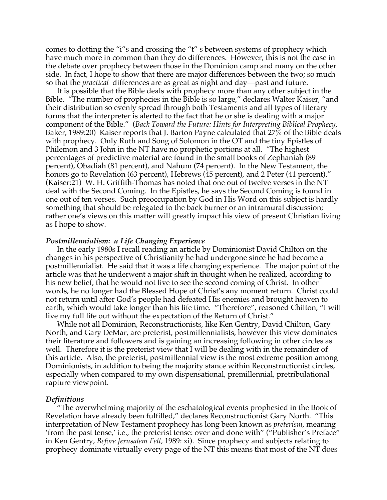comes to dotting the "i"s and crossing the "t" s between systems of prophecy which have much more in common than they do differences. However, this is not the case in the debate over prophecy between those in the Dominion camp and many on the other side. In fact, I hope to show that there are major differences between the two; so much so that the *practical* differences are as great as night and day—past and future.

It is possible that the Bible deals with prophecy more than any other subject in the Bible. "The number of prophecies in the Bible is so large," declares Walter Kaiser, "and their distribution so evenly spread through both Testaments and all types of literary forms that the interpreter is alerted to the fact that he or she is dealing with a major component of the Bible." (*Back Toward the Future: Hints for Interpreting Biblical Prophecy*, Baker, 1989:20) Kaiser reports that J. Barton Payne calculated that  $27\%$  of the Bible deals with prophecy. Only Ruth and Song of Solomon in the OT and the tiny Epistles of Philemon and 3 John in the NT have no prophetic portions at all. "The highest percentages of predictive material are found in the small books of Zephaniah (89 percent), Obadiah (81 percent), and Nahum (74 percent). In the New Testament, the honors go to Revelation (63 percent), Hebrews (45 percent), and 2 Peter (41 percent)." (Kaiser:21) W. H. Griffith-Thomas has noted that one out of twelve verses in the NT deal with the Second Coming. In the Epistles, he says the Second Coming is found in one out of ten verses. Such preoccupation by God in His Word on this subject is hardly something that should be relegated to the back burner or an intramural discussion; rather one's views on this matter will greatly impact his view of present Christian living as I hope to show.

## *Postmillennialism: a Life Changing Experience*

In the early 1980s I recall reading an article by Dominionist David Chilton on the changes in his perspective of Christianity he had undergone since he had become a postmillennialist. He said that it was a life changing experience. The major point of the article was that he underwent a major shift in thought when he realized, according to his new belief, that he would not live to see the second coming of Christ. In other words, he no longer had the Blessed Hope of Christ's any moment return. Christ could not return until after God's people had defeated His enemies and brought heaven to earth, which would take longer than his life time. "Therefore", reasoned Chilton, "I will live my full life out without the expectation of the Return of Christ."

While not all Dominion, Reconstructionists, like Ken Gentry, David Chilton, Gary North, and Gary DeMar, are preterist, postmillennialists, however this view dominates their literature and followers and is gaining an increasing following in other circles as well. Therefore it is the preterist view that I will be dealing with in the remainder of this article. Also, the preterist, postmillennial view is the most extreme position among Dominionists, in addition to being the majority stance within Reconstructionist circles, especially when compared to my own dispensational, premillennial, pretribulational rapture viewpoint.

#### *Definitions*

"The overwhelming majority of the eschatological events prophesied in the Book of Revelation have already been fulfilled," declares Reconstructionist Gary North. "This interpretation of New Testament prophecy has long been known as *preterism*, meaning 'from the past tense,' i.e., the preterist tense: over and done with" ("Publisher's Preface" in Ken Gentry, *Before Jerusalem Fell,* 1989: xi). Since prophecy and subjects relating to prophecy dominate virtually every page of the NT this means that most of the NT does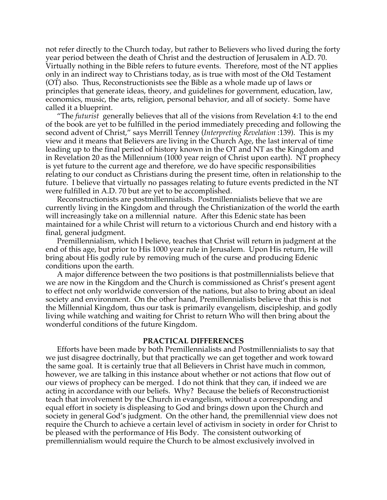not refer directly to the Church today, but rather to Believers who lived during the forty year period between the death of Christ and the destruction of Jerusalem in A.D. 70. Virtually nothing in the Bible refers to future events. Therefore, most of the NT applies only in an indirect way to Christians today, as is true with most of the Old Testament (OT) also. Thus, Reconstructionists see the Bible as a whole made up of laws or principles that generate ideas, theory, and guidelines for government, education, law, economics, music, the arts, religion, personal behavior, and all of society. Some have called it a blueprint.

"The *futurist* generally believes that all of the visions from Revelation 4:1 to the end of the book are yet to be fulfilled in the period immediately preceding and following the second advent of Christ," says Merrill Tenney (*Interpreting Revelation* :139). This is my view and it means that Believers are living in the Church Age, the last interval of time leading up to the final period of history known in the OT and NT as the Kingdom and in Revelation 20 as the Millennium (1000 year reign of Christ upon earth). NT prophecy is yet future to the current age and therefore, we do have specific responsibilities relating to our conduct as Christians during the present time, often in relationship to the future. I believe that virtually no passages relating to future events predicted in the NT were fulfilled in A.D. 70 but are yet to be accomplished.

Reconstructionists are postmillennialists. Postmillennialists believe that we are currently living in the Kingdom and through the Christianization of the world the earth will increasingly take on a millennial nature. After this Edenic state has been maintained for a while Christ will return to a victorious Church and end history with a final, general judgment.

Premillennialism, which I believe, teaches that Christ will return in judgment at the end of this age, but prior to His 1000 year rule in Jerusalem. Upon His return, He will bring about His godly rule by removing much of the curse and producing Edenic conditions upon the earth.

A major difference between the two positions is that postmillennialists believe that we are now in the Kingdom and the Church is commissioned as Christ's present agent to effect not only worldwide conversion of the nations, but also to bring about an ideal society and environment. On the other hand, Premillennialists believe that this is not the Millennial Kingdom, thus our task is primarily evangelism, discipleship, and godly living while watching and waiting for Christ to return Who will then bring about the wonderful conditions of the future Kingdom.

#### **PRACTICAL DIFFERENCES**

Efforts have been made by both Premillennialists and Postmillennialists to say that we just disagree doctrinally, but that practically we can get together and work toward the same goal. It is certainly true that all Believers in Christ have much in common, however, we are talking in this instance about whether or not actions that flow out of our views of prophecy can be merged. I do not think that they can, if indeed we are acting in accordance with our beliefs. Why? Because the beliefs of Reconstructionist teach that involvement by the Church in evangelism, without a corresponding and equal effort in society is displeasing to God and brings down upon the Church and society in general God's judgment. On the other hand, the premillennial view does not require the Church to achieve a certain level of activism in society in order for Christ to be pleased with the performance of His Body. The consistent outworking of premillennialism would require the Church to be almost exclusively involved in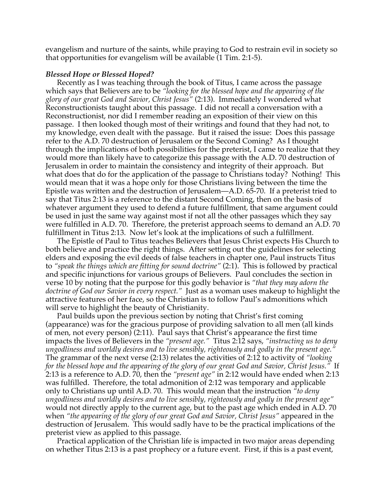evangelism and nurture of the saints, while praying to God to restrain evil in society so that opportunities for evangelism will be available (1 Tim. 2:1-5).

#### *Blessed Hope or Blessed Hoped?*

Recently as I was teaching through the book of Titus, I came across the passage which says that Believers are to be *"looking for the blessed hope and the appearing of the glory of our great God and Savior, Christ Jesus"* (2:13). Immediately I wondered what Reconstructionists taught about this passage. I did not recall a conversation with a Reconstructionist, nor did I remember reading an exposition of their view on this passage. I then looked though most of their writings and found that they had not, to my knowledge, even dealt with the passage. But it raised the issue: Does this passage refer to the A.D. 70 destruction of Jerusalem or the Second Coming? As I thought through the implications of both possibilities for the preterist, I came to realize that they would more than likely have to categorize this passage with the A.D. 70 destruction of Jerusalem in order to maintain the consistency and integrity of their approach. But what does that do for the application of the passage to Christians today? Nothing! This would mean that it was a hope only for those Christians living between the time the Epistle was written and the destruction of Jerusalem—A.D. 65-70. If a preterist tried to say that Titus 2:13 is a reference to the distant Second Coming, then on the basis of whatever argument they used to defend a future fulfillment, that same argument could be used in just the same way against most if not all the other passages which they say were fulfilled in A.D. 70. Therefore, the preterist approach seems to demand an A.D. 70 fulfillment in Titus 2:13. Now let's look at the implications of such a fulfillment.

The Epistle of Paul to Titus teaches Believers that Jesus Christ expects His Church to both believe and practice the right things. After setting out the guidelines for selecting elders and exposing the evil deeds of false teachers in chapter one, Paul instructs Titus to *"speak the things which are fitting for sound doctrine"* (2:1). This is followed by practical and specific injunctions for various groups of Believers. Paul concludes the section in verse 10 by noting that the purpose for this godly behavior is *"that they may adorn the doctrine of God our Savior in every respect."* Just as a woman uses makeup to highlight the attractive features of her face, so the Christian is to follow Paul's admonitions which will serve to highlight the beauty of Christianity.

Paul builds upon the previous section by noting that Christ's first coming (appearance) was for the gracious purpose of providing salvation to all men (all kinds of men, not every person) (2:11). Paul says that Christ's appearance the first time impacts the lives of Believers in the *"present age."* Titus 2:12 says, *"instructing us to deny ungodliness and worldly desires and to live sensibly, righteously and godly in the present age."* The grammar of the next verse (2:13) relates the activities of 2:12 to activity of *"looking for the blessed hope and the appearing of the glory of our great God and Savior, Christ Jesus."* If 2:13 is a reference to A.D. 70, then the *"present age"* in 2:12 would have ended when 2:13 was fulfilled. Therefore, the total admonition of 2:12 was temporary and applicable only to Christians up until A.D. 70. This would mean that the instruction *"to deny ungodliness and worldly desires and to live sensibly, righteously and godly in the present age"* would not directly apply to the current age, but to the past age which ended in A.D. 70 when "the appearing of the glory of our great God and Savior, Christ Jesus" appeared in the destruction of Jerusalem. This would sadly have to be the practical implications of the preterist view as applied to this passage.

Practical application of the Christian life is impacted in two major areas depending on whether Titus 2:13 is a past prophecy or a future event. First, if this is a past event,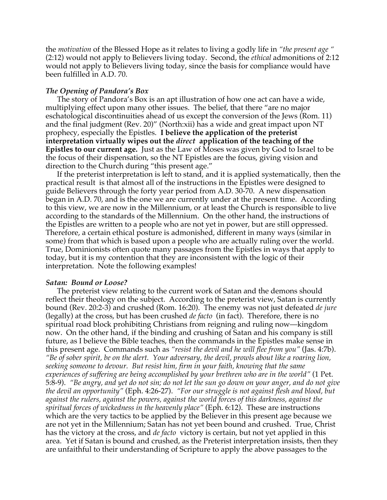the *motivation* of the Blessed Hope as it relates to living a godly life in *"the present age "* (2:12) would not apply to Believers living today. Second, the *ethical* admonitions of 2:12 would not apply to Believers living today, since the basis for compliance would have been fulfilled in A.D. 70.

# *The Opening of Pandora's Box*

The story of Pandora's Box is an apt illustration of how one act can have a wide, multiplying effect upon many other issues. The belief, that there "are no major eschatological discontinuities ahead of us except the conversion of the Jews (Rom. 11) and the final judgment (Rev. 20)" (North:xii) has a wide and great impact upon NT prophecy, especially the Epistles. **I believe the application of the preterist interpretation virtually wipes out the** *direct* **application of the teaching of the Epistles to our current age.** Just as the Law of Moses was given by God to Israel to be the focus of their dispensation, so the NT Epistles are the focus, giving vision and direction to the Church during "this present age."

If the preterist interpretation is left to stand, and it is applied systematically, then the practical result is that almost all of the instructions in the Epistles were designed to guide Believers through the forty year period from A.D. 30-70. A new dispensation began in A.D. 70, and is the one we are currently under at the present time. According to this view, we are now in the Millennium, or at least the Church is responsible to live according to the standards of the Millennium. On the other hand, the instructions of the Epistles are written to a people who are not yet in power, but are still oppressed. Therefore, a certain ethical posture is admonished, different in many ways (similar in some) from that which is based upon a people who are actually ruling over the world. True, Dominionists often quote many passages from the Epistles in ways that apply to today, but it is my contention that they are inconsistent with the logic of their interpretation. Note the following examples!

## *Satan: Bound or Loose?*

The preterist view relating to the current work of Satan and the demons should reflect their theology on the subject. According to the preterist view, Satan is currently bound (Rev. 20:2-3) and crushed (Rom. 16:20). The enemy was not just defeated *de jure* (legally) at the cross, but has been crushed *de facto* (in fact). Therefore, there is no spiritual road block prohibiting Christians from reigning and ruling now—kingdom now. On the other hand, if the binding and crushing of Satan and his company is still future, as I believe the Bible teaches, then the commands in the Epistles make sense in this present age. Commands such as *"resist the devil and he will flee from you"* (Jas. 4:7b). *"Be of sober spirit, be on the alert. Your adversary, the devil, prowls about like a roaring lion, seeking someone to devour. But resist him, firm in your faith, knowing that the same experiences of suffering are being accomplished by your brethren who are in the world"* (1 Pet. 5:8-9). *"Be angry, and yet do not sin; do not let the sun go down on your anger, and do not give the devil an opportunity"* (Eph. 4:26-27). *"For our struggle is not against flesh and blood, but against the rulers, against the powers, against the world forces of this darkness, against the spiritual forces of wickedness in the heavenly place"* (Eph. 6:12). These are instructions which are the very tactics to be applied by the Believer in this present age because we are not yet in the Millennium; Satan has not yet been bound and crushed. True, Christ has the victory at the cross, and *de facto* victory is certain, but not yet applied in this area. Yet if Satan is bound and crushed, as the Preterist interpretation insists, then they are unfaithful to their understanding of Scripture to apply the above passages to the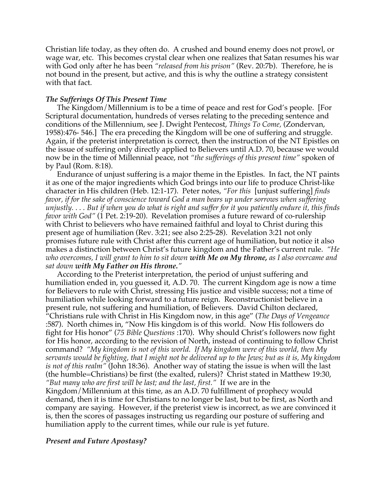Christian life today, as they often do. A crushed and bound enemy does not prowl, or wage war, etc. This becomes crystal clear when one realizes that Satan resumes his war with God only after he has been *"released from his prison"* (Rev. 20:7b). Therefore, he is not bound in the present, but active, and this is why the outline a strategy consistent with that fact.

# *The Sufferings Of This Present Time*

The Kingdom/Millennium is to be a time of peace and rest for God's people. [For Scriptural documentation, hundreds of verses relating to the preceding sentence and conditions of the Millennium, see J. Dwight Pentecost, *Things To Come,* (Zondervan, 1958):476- 546.] The era preceding the Kingdom will be one of suffering and struggle. Again, if the preterist interpretation is correct, then the instruction of the NT Epistles on the issue of suffering only directly applied to Believers until A.D. 70, because we would now be in the time of Millennial peace, not *"the sufferings of this present time"* spoken of by Paul (Rom. 8:18).

Endurance of unjust suffering is a major theme in the Epistles. In fact, the NT paints it as one of the major ingredients which God brings into our life to produce Christ-like character in His children (Heb. 12:1-17). Peter notes, *"For this* [unjust suffering] *finds favor, if for the sake of conscience toward God a man bears up under sorrows when suffering unjustly. . . . But if when you do what is right and suffer for it you patiently endure it, this finds favor with God"* (1 Pet. 2:19-20). Revelation promises a future reward of co-rulership with Christ to believers who have remained faithful and loyal to Christ during this present age of humiliation (Rev. 3:21; see also 2:25-28). Revelation 3:21 not only promises future rule with Christ after this current age of humiliation, but notice it also makes a distinction between Christ's future kingdom and the Father's current rule. *"He who overcomes, I will grant to him to sit down with Me on My throne, as I also overcame and sat down with My Father on His throne."*

According to the Preterist interpretation, the period of unjust suffering and humiliation ended in, you guessed it, A.D. 70. The current Kingdom age is now a time for Believers to rule with Christ, stressing His justice and visible success; not a time of humiliation while looking forward to a future reign. Reconstructionist believe in a present rule, not suffering and humiliation, of Believers. David Chilton declared, "Christians rule with Christ in His Kingdom now, in this age" (*The Days of Vengeance* :587). North chimes in, "Now His kingdom is of this world. Now His followers do fight for His honor" (*75 Bible Questions* :170). Why should Christ's followers now fight for His honor, according to the revision of North, instead of continuing to follow Christ command? *"My kingdom is not of this world. If My kingdom were of this world, then My servants would be fighting, that I might not be delivered up to the Jews; but as it is, My kingdom is not of this realm"* (John 18:36). Another way of stating the issue is when will the last (the humble=Christians) be first (the exalted, rulers)? Christ stated in Matthew 19:30, *"But many who are first will be last; and the last, first."* If we are in the Kingdom/Millennium at this time, as an A.D. 70 fulfillment of prophecy would demand, then it is time for Christians to no longer be last, but to be first, as North and company are saying. However, if the preterist view is incorrect, as we are convinced it is, then the scores of passages instructing us regarding our posture of suffering and humiliation apply to the current times, while our rule is yet future.

## *Present and Future Apostasy?*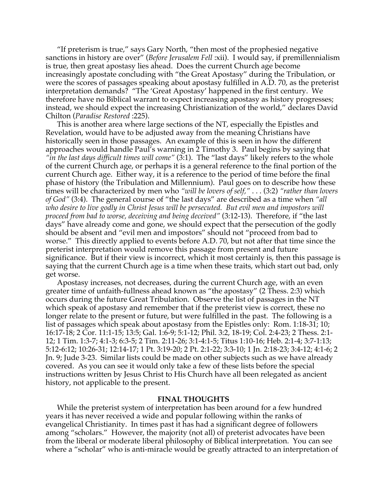"If preterism is true," says Gary North, "then most of the prophesied negative sanctions in history are over" (*Before Jerusalem Fell* :xii). I would say, if premillennialism is true, then great apostasy lies ahead. Does the current Church age become increasingly apostate concluding with "the Great Apostasy" during the Tribulation, or were the scores of passages speaking about apostasy fulfilled in A.D. 70, as the preterist interpretation demands? "The 'Great Apostasy' happened in the first century. We therefore have no Biblical warrant to expect increasing apostasy as history progresses; instead, we should expect the increasing Christianization of the world," declares David Chilton (*Paradise Restored* :225).

This is another area where large sections of the NT, especially the Epistles and Revelation, would have to be adjusted away from the meaning Christians have historically seen in those passages. An example of this is seen in how the different approaches would handle Paul's warning in 2 Timothy 3. Paul begins by saying that *"in the last days difficult times will come"* (3:1). The "last days" likely refers to the whole of the current Church age, or perhaps it is a general reference to the final portion of the current Church age. Either way, it is a reference to the period of time before the final phase of history (the Tribulation and Millennium). Paul goes on to describe how these times will be characterized by men who *"will be lovers of self,"* . . . (3:2) *"rather than lovers of God"* (3:4). The general course of "the last days" are described as a time when *"all who desire to live godly in Christ Jesus will be persecuted. But evil men and impostors will proceed from bad to worse, deceiving and being deceived"* (3:12-13). Therefore, if "the last days" have already come and gone, we should expect that the persecution of the godly should be absent and "evil men and impostors" should not "proceed from bad to worse." This directly applied to events before A.D. 70, but not after that time since the preterist interpretation would remove this passage from present and future significance. But if their view is incorrect, which it most certainly is, then this passage is saying that the current Church age is a time when these traits, which start out bad, only get worse.

Apostasy increases, not decreases, during the current Church age, with an even greater time of unfaith-fullness ahead known as "the apostasy" (2 Thess. 2:3) which occurs during the future Great Tribulation. Observe the list of passages in the NT which speak of apostasy and remember that if the preterist view is correct, these no longer relate to the present or future, but were fulfilled in the past. The following is a list of passages which speak about apostasy from the Epistles only: Rom. 1:18-31; 10; 16:17-18; 2 Cor. 11:1-15; 13:5; Gal. 1:6-9; 5:1-12; Phil. 3:2, 18-19; Col. 2:4-23; 2 Thess. 2:1- 12; 1 Tim. 1:3-7; 4:1-3; 6:3-5; 2 Tim. 2:11-26; 3:1-4:1-5; Titus 1:10-16; Heb. 2:1-4; 3:7-1:13; 5:12-6:12; 10:26-31; 12:14-17; 1 Pt. 3:19-20; 2 Pt. 2:1-22; 3:3-10; 1 Jn. 2:18-23; 3:4-12; 4:1-6; 2 Jn. 9; Jude 3-23. Similar lists could be made on other subjects such as we have already covered. As you can see it would only take a few of these lists before the special instructions written by Jesus Christ to His Church have all been relegated as ancient history, not applicable to the present.

#### **FINAL THOUGHTS**

While the preterist system of interpretation has been around for a few hundred years it has never received a wide and popular following within the ranks of evangelical Christianity. In times past it has had a significant degree of followers among "scholars." However, the majority (not all) of preterist advocates have been from the liberal or moderate liberal philosophy of Biblical interpretation. You can see where a "scholar" who is anti-miracle would be greatly attracted to an interpretation of